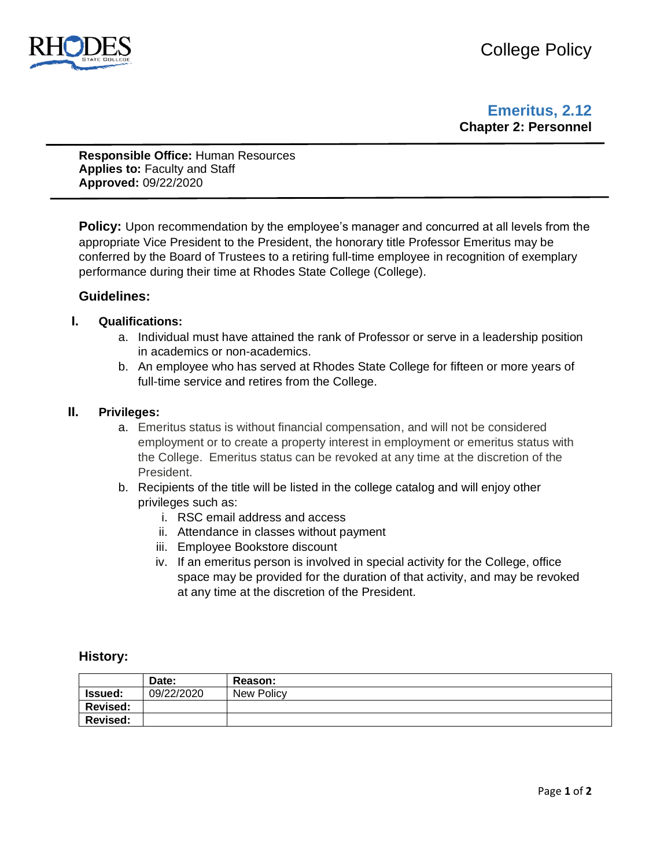

## **Emeritus, 2.12 Chapter 2: Personnel**

**Responsible Office:** Human Resources **Applies to:** Faculty and Staff **Approved:** 09/22/2020

**Policy:** Upon recommendation by the employee's manager and concurred at all levels from the appropriate Vice President to the President, the honorary title Professor Emeritus may be conferred by the Board of Trustees to a retiring full-time employee in recognition of exemplary performance during their time at Rhodes State College (College).

### **Guidelines:**

#### **I. Qualifications:**

- a. Individual must have attained the rank of Professor or serve in a leadership position in academics or non-academics.
- b. An employee who has served at Rhodes State College for fifteen or more years of full-time service and retires from the College.

#### **II. Privileges:**

- a. Emeritus status is without financial compensation, and will not be considered employment or to create a property interest in employment or emeritus status with the College. Emeritus status can be revoked at any time at the discretion of the President.
- b. Recipients of the title will be listed in the college catalog and will enjoy other privileges such as:
	- i. RSC email address and access
	- ii. Attendance in classes without payment
	- iii. Employee Bookstore discount
	- iv. If an emeritus person is involved in special activity for the College, office space may be provided for the duration of that activity, and may be revoked at any time at the discretion of the President.

#### **History:**

|                 | Date:      | Reason:    |
|-----------------|------------|------------|
| <b>Issued:</b>  | 09/22/2020 | New Policy |
| <b>Revised:</b> |            |            |
| <b>Revised:</b> |            |            |